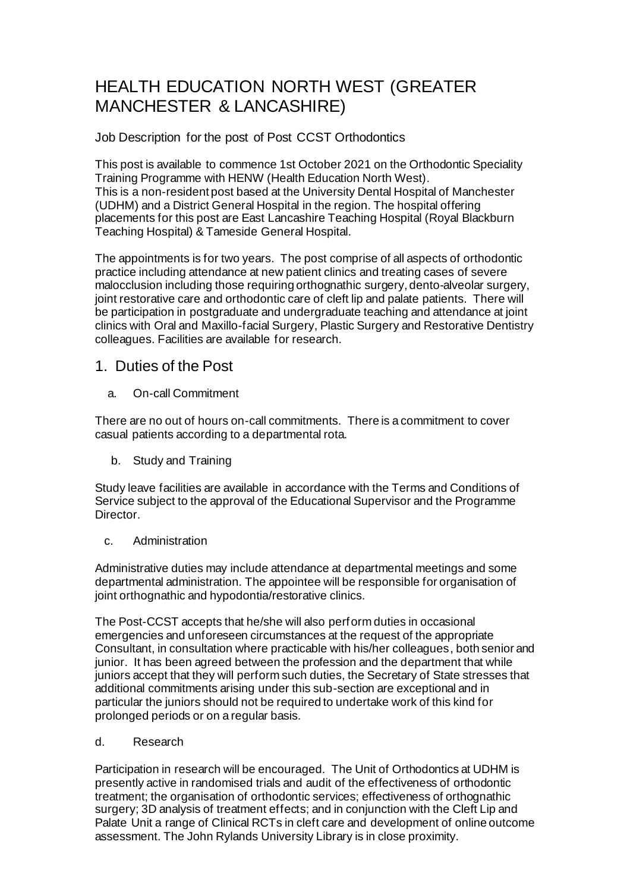# HEALTH EDUCATION NORTH WEST (GREATER MANCHESTER & LANCASHIRE)

Job Description for the post of Post CCST Orthodontics

This post is available to commence 1st October 2021 on the Orthodontic Speciality Training Programme with HENW (Health Education North West). This is a non-resident post based at the University Dental Hospital of Manchester (UDHM) and a District General Hospital in the region. The hospital offering placements for this post are East Lancashire Teaching Hospital (Royal Blackburn Teaching Hospital) & Tameside General Hospital.

The appointments is for two years. The post comprise of all aspects of orthodontic practice including attendance at new patient clinics and treating cases of severe malocclusion including those requiring orthognathic surgery, dento-alveolar surgery, joint restorative care and orthodontic care of cleft lip and palate patients. There will be participation in postgraduate and undergraduate teaching and attendance at joint clinics with Oral and Maxillo-facial Surgery, Plastic Surgery and Restorative Dentistry colleagues. Facilities are available for research.

#### 1. Duties of the Post

a. On-call Commitment

There are no out of hours on-call commitments. There is a commitment to cover casual patients according to a departmental rota.

b. Study and Training

Study leave facilities are available in accordance with the Terms and Conditions of Service subject to the approval of the Educational Supervisor and the Programme Director.

#### c. Administration

Administrative duties may include attendance at departmental meetings and some departmental administration. The appointee will be responsible for organisation of joint orthognathic and hypodontia/restorative clinics.

The Post-CCST accepts that he/she will also perform duties in occasional emergencies and unforeseen circumstances at the request of the appropriate Consultant, in consultation where practicable with his/her colleagues, both senior and junior. It has been agreed between the profession and the department that while juniors accept that they will perform such duties, the Secretary of State stresses that additional commitments arising under this sub-section are exceptional and in particular the juniors should not be required to undertake work of this kind for prolonged periods or on a regular basis.

#### d. Research

Participation in research will be encouraged. The Unit of Orthodontics at UDHM is presently active in randomised trials and audit of the effectiveness of orthodontic treatment; the organisation of orthodontic services; effectiveness of orthognathic surgery; 3D analysis of treatment effects; and in conjunction with the Cleft Lip and Palate Unit a range of Clinical RCTs in cleft care and development of online outcome assessment. The John Rylands University Library is in close proximity.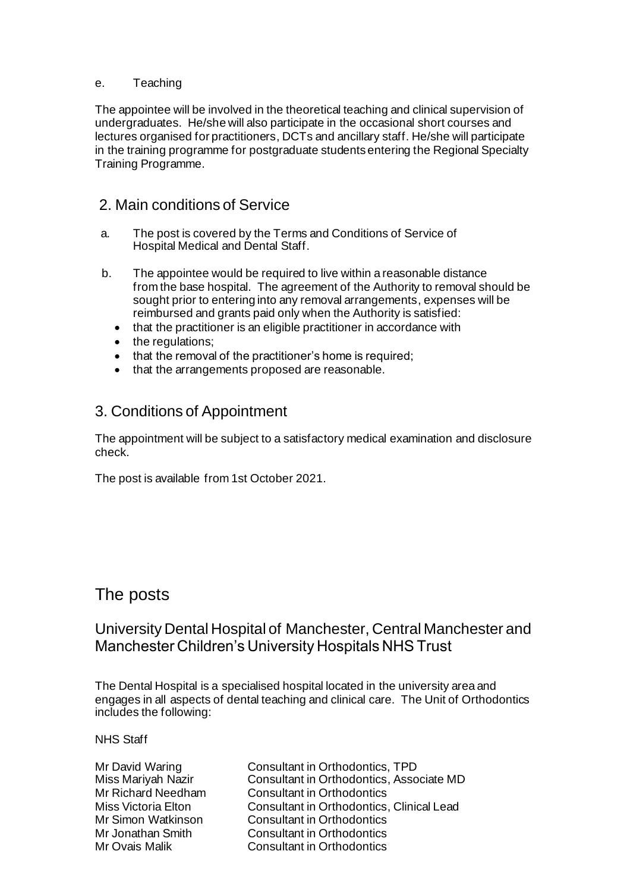#### e. Teaching

The appointee will be involved in the theoretical teaching and clinical supervision of undergraduates. He/she will also participate in the occasional short courses and lectures organised for practitioners, DCTs and ancillary staff. He/she will participate in the training programme for postgraduate students entering the Regional Specialty Training Programme.

#### 2. Main conditions of Service

- a. The post is covered by the Terms and Conditions of Service of Hospital Medical and Dental Staff.
- b. The appointee would be required to live within a reasonable distance from the base hospital. The agreement of the Authority to removal should be sought prior to entering into any removal arrangements, expenses will be reimbursed and grants paid only when the Authority is satisfied:
	- that the practitioner is an eligible practitioner in accordance with
	- the regulations;
	- that the removal of the practitioner's home is required;
	- that the arrangements proposed are reasonable.

### 3. Conditions of Appointment

The appointment will be subject to a satisfactory medical examination and disclosure check.

The post is available from 1st October 2021.

### The posts

### University Dental Hospital of Manchester, Central Manchester and Manchester Children's University Hospitals NHS Trust

The Dental Hospital is a specialised hospital located in the university area and engages in all aspects of dental teaching and clinical care. The Unit of Orthodontics includes the following:

NHS Staff

Mr David Waring Consultant in Orthodontics, TPD Miss Mariyah Nazir Consultant in Orthodontics, Associate MD<br>Mr Richard Needham Consultant in Orthodontics **Consultant in Orthodontics** Miss Victoria Elton Consultant in Orthodontics, Clinical Lead Mr Simon Watkinson Consultant in Orthodontics Mr Jonathan Smith Consultant in Orthodontics<br>
Mr Ovais Malik Consultant in Orthodontics **Consultant in Orthodontics**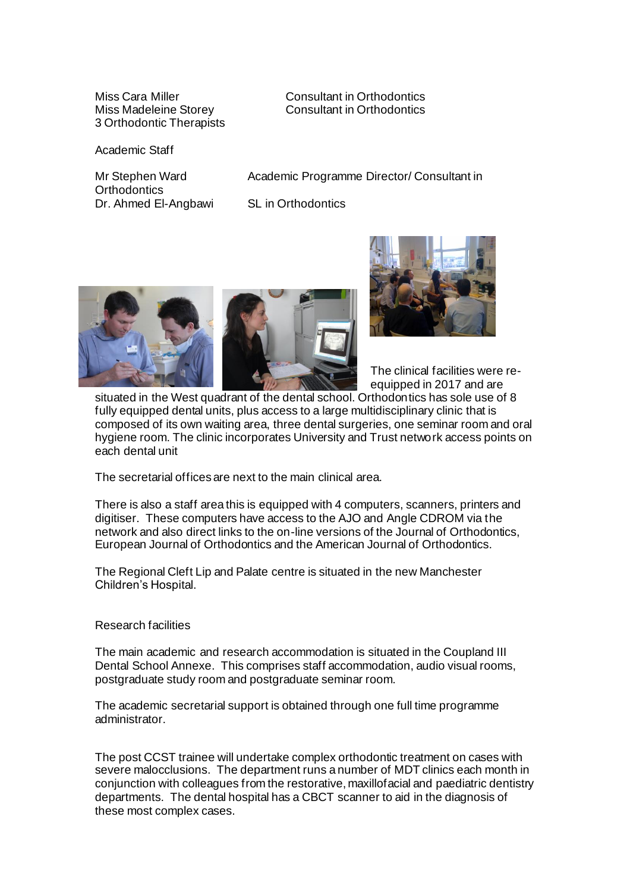3 Orthodontic Therapists

Miss Cara Miller Consultant in Orthodontics<br>
Miss Madeleine Storey<br>
Consultant in Orthodontics Consultant in Orthodontics

Academic Staff

Mr Stephen Ward Academic Programme Director/ Consultant in

**Orthodontics** Dr. Ahmed El-Angbawi SL in Orthodontics





The clinical facilities were reequipped in 2017 and are

situated in the West quadrant of the dental school. Orthodontics has sole use of 8 fully equipped dental units, plus access to a large multidisciplinary clinic that is composed of its own waiting area, three dental surgeries, one seminar room and oral hygiene room. The clinic incorporates University and Trust network access points on each dental unit

The secretarial offices are next to the main clinical area.

There is also a staff area this is equipped with 4 computers, scanners, printers and digitiser. These computers have access to the AJO and Angle CDROM via the network and also direct links to the on-line versions of the Journal of Orthodontics, European Journal of Orthodontics and the American Journal of Orthodontics.

The Regional Cleft Lip and Palate centre is situated in the new Manchester Children's Hospital.

#### Research facilities

The main academic and research accommodation is situated in the Coupland III Dental School Annexe. This comprises staff accommodation, audio visual rooms, postgraduate study room and postgraduate seminar room.

The academic secretarial support is obtained through one full time programme administrator.

The post CCST trainee will undertake complex orthodontic treatment on cases with severe malocclusions. The department runs a number of MDT clinics each month in conjunction with colleagues from the restorative, maxillofacial and paediatric dentistry departments. The dental hospital has a CBCT scanner to aid in the diagnosis of these most complex cases.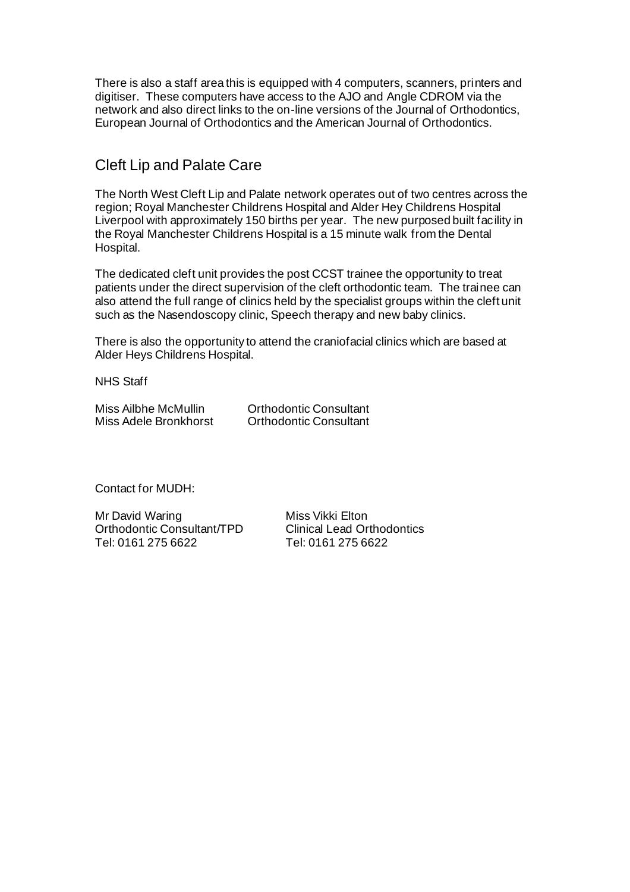There is also a staff area this is equipped with 4 computers, scanners, printers and digitiser. These computers have access to the AJO and Angle CDROM via the network and also direct links to the on-line versions of the Journal of Orthodontics, European Journal of Orthodontics and the American Journal of Orthodontics.

### Cleft Lip and Palate Care

The North West Cleft Lip and Palate network operates out of two centres across the region; Royal Manchester Childrens Hospital and Alder Hey Childrens Hospital Liverpool with approximately 150 births per year. The new purposed built facility in the Royal Manchester Childrens Hospital is a 15 minute walk from the Dental Hospital.

The dedicated cleft unit provides the post CCST trainee the opportunity to treat patients under the direct supervision of the cleft orthodontic team. The trainee can also attend the full range of clinics held by the specialist groups within the cleft unit such as the Nasendoscopy clinic, Speech therapy and new baby clinics.

There is also the opportunity to attend the craniofacial clinics which are based at Alder Heys Childrens Hospital.

NHS Staff

| Miss Ailbhe McMullin  | <b>Orthodontic Consultant</b> |
|-----------------------|-------------------------------|
| Miss Adele Bronkhorst | <b>Orthodontic Consultant</b> |

Contact for MUDH:

Mr David Waring Miss Vikki Elton Orthodontic Consultant/TPD Clinical Lead Orthodontics Tel: 0161 275 6622 Tel: 0161 275 6622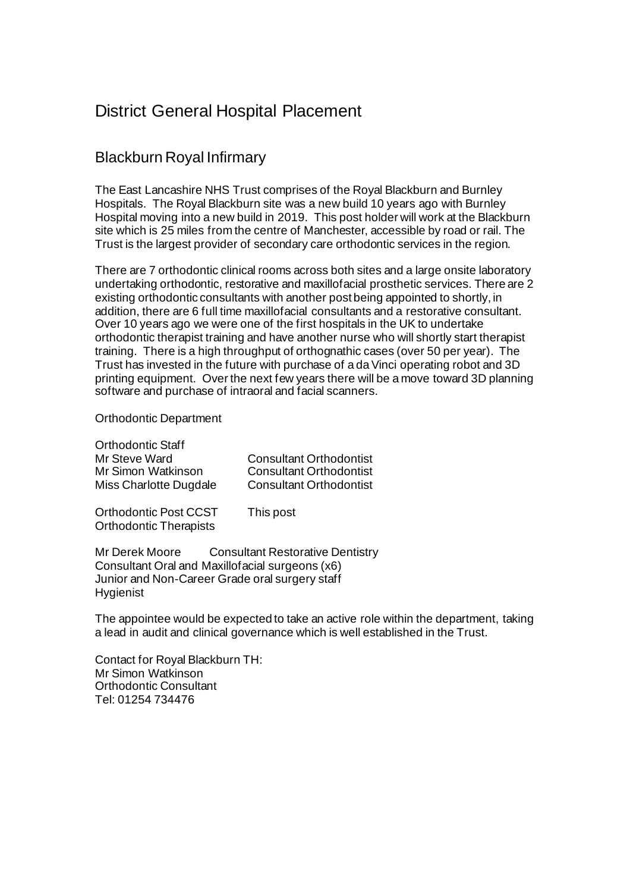## District General Hospital Placement

### Blackburn Royal Infirmary

The East Lancashire NHS Trust comprises of the Royal Blackburn and Burnley Hospitals. The Royal Blackburn site was a new build 10 years ago with Burnley Hospital moving into a new build in 2019. This post holder will work at the Blackburn site which is 25 miles from the centre of Manchester, accessible by road or rail. The Trust is the largest provider of secondary care orthodontic services in the region.

There are 7 orthodontic clinical rooms across both sites and a large onsite laboratory undertaking orthodontic, restorative and maxillofacial prosthetic services. There are 2 existing orthodontic consultants with another post being appointed to shortly, in addition, there are 6 full time maxillofacial consultants and a restorative consultant. Over 10 years ago we were one of the first hospitals in the UK to undertake orthodontic therapist training and have another nurse who will shortly start therapist training. There is a high throughput of orthognathic cases (over 50 per year). The Trust has invested in the future with purchase of a da Vinci operating robot and 3D printing equipment. Over the next few years there will be a move toward 3D planning software and purchase of intraoral and facial scanners.

Orthodontic Department

| <b>Orthodontic Staff</b>                               |                                |
|--------------------------------------------------------|--------------------------------|
| Mr Steve Ward                                          | <b>Consultant Orthodontist</b> |
| Mr Simon Watkinson                                     | <b>Consultant Orthodontist</b> |
| Miss Charlotte Dugdale                                 | <b>Consultant Orthodontist</b> |
| Orthodontic Post CCST<br><b>Orthodontic Therapists</b> | This post                      |

Mr Derek Moore Consultant Restorative Dentistry Consultant Oral and Maxillofacial surgeons (x6) Junior and Non-Career Grade oral surgery staff Hygienist

The appointee would be expected to take an active role within the department, taking a lead in audit and clinical governance which is well established in the Trust.

Contact for Royal Blackburn TH: Mr Simon Watkinson Orthodontic Consultant Tel: 01254 734476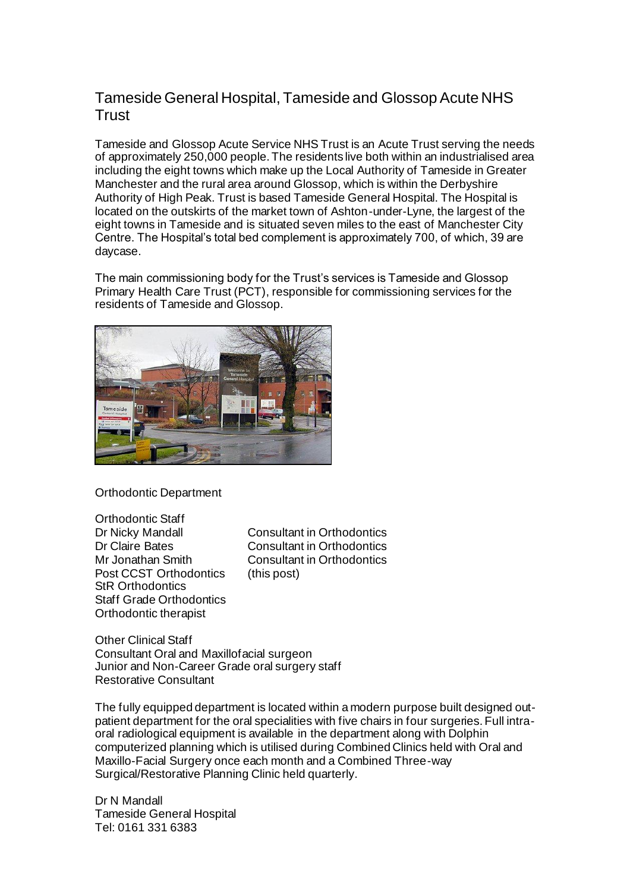### Tameside General Hospital, Tameside and Glossop Acute NHS **Trust**

Tameside and Glossop Acute Service NHS Trust is an Acute Trust serving the needs of approximately 250,000 people. The residents live both within an industrialised area including the eight towns which make up the Local Authority of Tameside in Greater Manchester and the rural area around Glossop, which is within the Derbyshire Authority of High Peak. Trust is based Tameside General Hospital. The Hospital is located on the outskirts of the market town of Ashton-under-Lyne, the largest of the eight towns in Tameside and is situated seven miles to the east of Manchester City Centre. The Hospital's total bed complement is approximately 700, of which, 39 are daycase.

The main commissioning body for the Trust's services is Tameside and Glossop Primary Health Care Trust (PCT), responsible for commissioning services for the residents of Tameside and Glossop.



Orthodontic Department

Orthodontic Staff Post CCST Orthodontics (this post) StR Orthodontics Staff Grade Orthodontics Orthodontic therapist

Dr Nicky Mandall Consultant in Orthodontics<br>Dr Claire Bates Consultant in Orthodontics Consultant in Orthodontics Mr Jonathan Smith Consultant in Orthodontics

Other Clinical Staff Consultant Oral and Maxillofacial surgeon Junior and Non-Career Grade oral surgery staff Restorative Consultant

The fully equipped department is located within a modern purpose built designed outpatient department for the oral specialities with five chairs in four surgeries. Full intraoral radiological equipment is available in the department along with Dolphin computerized planning which is utilised during Combined Clinics held with Oral and Maxillo-Facial Surgery once each month and a Combined Three-way Surgical/Restorative Planning Clinic held quarterly.

Dr N Mandall Tameside General Hospital Tel: 0161 331 6383